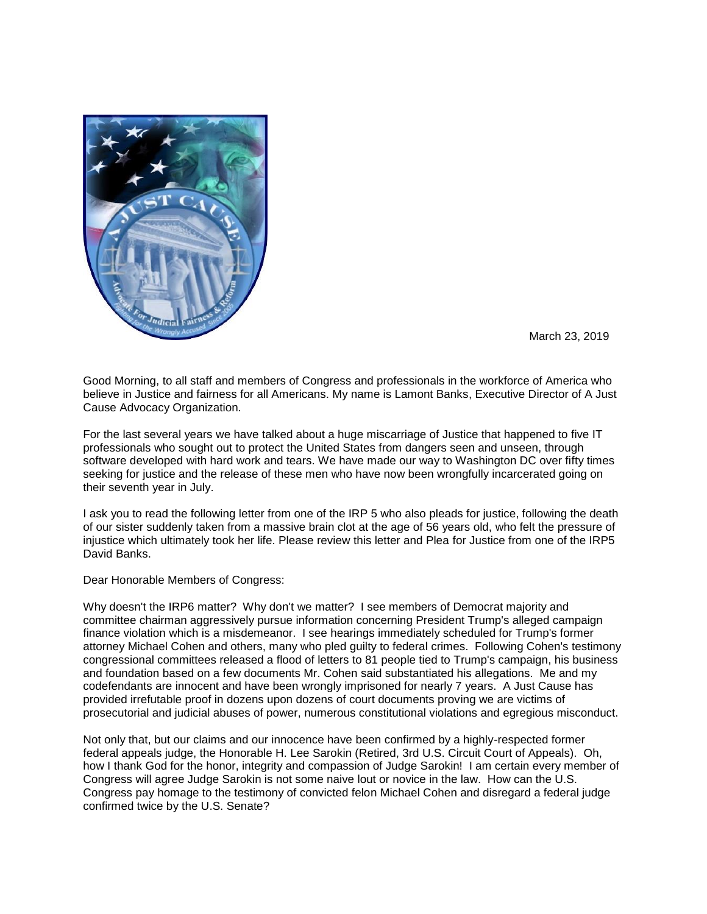

March 23, 2019

Good Morning, to all staff and members of Congress and professionals in the workforce of America who believe in Justice and fairness for all Americans. My name is Lamont Banks, Executive Director of A Just Cause Advocacy Organization.

For the last several years we have talked about a huge miscarriage of Justice that happened to five IT professionals who sought out to protect the United States from dangers seen and unseen, through software developed with hard work and tears. We have made our way to Washington DC over fifty times seeking for justice and the release of these men who have now been wrongfully incarcerated going on their seventh year in July.

I ask you to read the following letter from one of the IRP 5 who also pleads for justice, following the death of our sister suddenly taken from a massive brain clot at the age of 56 years old, who felt the pressure of injustice which ultimately took her life. Please review this letter and Plea for Justice from one of the IRP5 David Banks.

Dear Honorable Members of Congress:

Why doesn't the IRP6 matter? Why don't we matter? I see members of Democrat majority and committee chairman aggressively pursue information concerning President Trump's alleged campaign finance violation which is a misdemeanor. I see hearings immediately scheduled for Trump's former attorney Michael Cohen and others, many who pled guilty to federal crimes. Following Cohen's testimony congressional committees released a flood of letters to 81 people tied to Trump's campaign, his business and foundation based on a few documents Mr. Cohen said substantiated his allegations. Me and my codefendants are innocent and have been wrongly imprisoned for nearly 7 years. A Just Cause has provided irrefutable proof in dozens upon dozens of court documents proving we are victims of prosecutorial and judicial abuses of power, numerous constitutional violations and egregious misconduct.

Not only that, but our claims and our innocence have been confirmed by a highly-respected former federal appeals judge, the Honorable H. Lee Sarokin (Retired, 3rd U.S. Circuit Court of Appeals). Oh, how I thank God for the honor, integrity and compassion of Judge Sarokin! I am certain every member of Congress will agree Judge Sarokin is not some naive lout or novice in the law. How can the U.S. Congress pay homage to the testimony of convicted felon Michael Cohen and disregard a federal judge confirmed twice by the U.S. Senate?